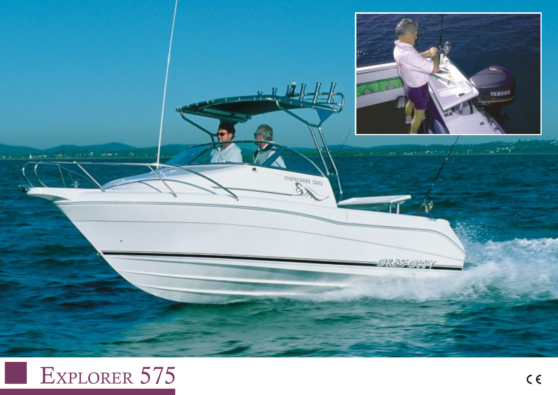

## EXPLORER 575